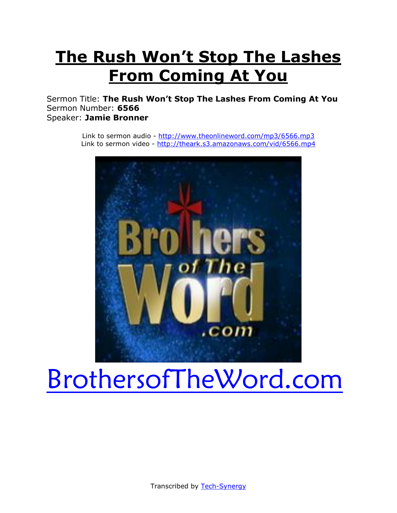# **The Rush Won't Stop The Lashes From Coming At You**

Sermon Title: **The Rush Won't Stop The Lashes From Coming At You** Sermon Number: **6566** Speaker: **Jamie Bronner**

> Link to sermon audio - [http://www.theonlineword.com/mp3/6566.mp3](http://www.theonlineword.com/mp3/7877.mp3) Link to sermon video - [http://theark.s3.amazonaws.com/vid/6566.mp4](http://theark.s3.amazonaws.com/vid/7877.mp4)



# [BrothersofTheWord.com](http://www.brothersoftheword.com/)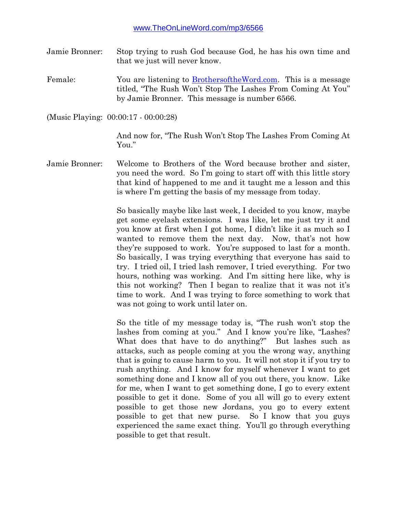- Jamie Bronner: Stop trying to rush God because God, he has his own time and that we just will never know.
- Female: You are listening to [BrothersoftheWord.com.](http://www.brothersoftheword.com/) This is a message titled, "The Rush Won't Stop The Lashes From Coming At You" by Jamie Bronner. This message is number 6566.

(Music Playing: 00:00:17 - 00:00:28)

And now for, "The Rush Won't Stop The Lashes From Coming At You."

Jamie Bronner: Welcome to Brothers of the Word because brother and sister, you need the word. So I'm going to start off with this little story that kind of happened to me and it taught me a lesson and this is where I'm getting the basis of my message from today.

> So basically maybe like last week, I decided to you know, maybe get some eyelash extensions. I was like, let me just try it and you know at first when I got home, I didn't like it as much so I wanted to remove them the next day. Now, that's not how they're supposed to work. You're supposed to last for a month. So basically, I was trying everything that everyone has said to try. I tried oil, I tried lash remover, I tried everything. For two hours, nothing was working. And I'm sitting here like, why is this not working? Then I began to realize that it was not it's time to work. And I was trying to force something to work that was not going to work until later on.

> So the title of my message today is, "The rush won't stop the lashes from coming at you." And I know you're like, "Lashes? What does that have to do anything?" But lashes such as attacks, such as people coming at you the wrong way, anything that is going to cause harm to you. It will not stop it if you try to rush anything. And I know for myself whenever I want to get something done and I know all of you out there, you know. Like for me, when I want to get something done, I go to every extent possible to get it done. Some of you all will go to every extent possible to get those new Jordans, you go to every extent possible to get that new purse. So I know that you guys experienced the same exact thing. You'll go through everything possible to get that result.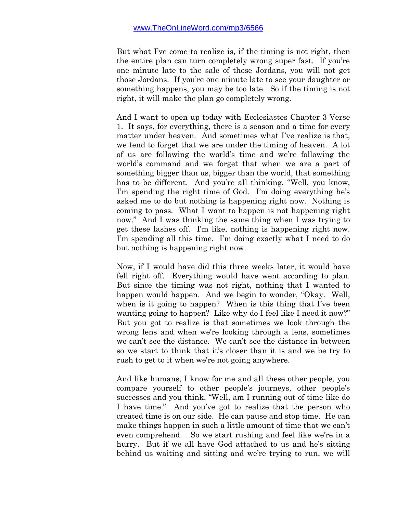But what I've come to realize is, if the timing is not right, then the entire plan can turn completely wrong super fast. If you're one minute late to the sale of those Jordans, you will not get those Jordans. If you're one minute late to see your daughter or something happens, you may be too late. So if the timing is not right, it will make the plan go completely wrong.

And I want to open up today with Ecclesiastes Chapter 3 Verse 1. It says, for everything, there is a season and a time for every matter under heaven. And sometimes what I've realize is that, we tend to forget that we are under the timing of heaven. A lot of us are following the world's time and we're following the world's command and we forget that when we are a part of something bigger than us, bigger than the world, that something has to be different. And you're all thinking, "Well, you know, I'm spending the right time of God. I'm doing everything he's asked me to do but nothing is happening right now. Nothing is coming to pass. What I want to happen is not happening right now." And I was thinking the same thing when I was trying to get these lashes off. I'm like, nothing is happening right now. I'm spending all this time. I'm doing exactly what I need to do but nothing is happening right now.

Now, if I would have did this three weeks later, it would have fell right off. Everything would have went according to plan. But since the timing was not right, nothing that I wanted to happen would happen. And we begin to wonder, "Okay. Well, when is it going to happen? When is this thing that I've been wanting going to happen? Like why do I feel like I need it now?" But you got to realize is that sometimes we look through the wrong lens and when we're looking through a lens, sometimes we can't see the distance. We can't see the distance in between so we start to think that it's closer than it is and we be try to rush to get to it when we're not going anywhere.

And like humans, I know for me and all these other people, you compare yourself to other people's journeys, other people's successes and you think, "Well, am I running out of time like do I have time." And you've got to realize that the person who created time is on our side. He can pause and stop time. He can make things happen in such a little amount of time that we can't even comprehend. So we start rushing and feel like we're in a hurry. But if we all have God attached to us and he's sitting behind us waiting and sitting and we're trying to run, we will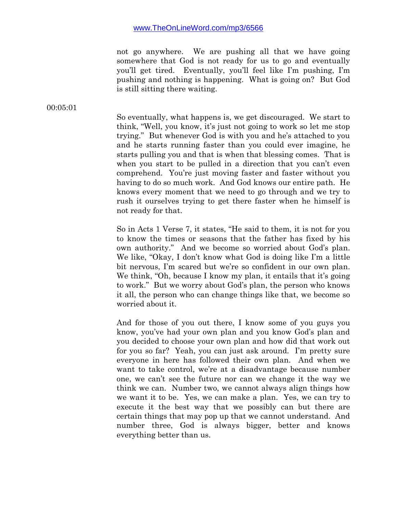not go anywhere. We are pushing all that we have going somewhere that God is not ready for us to go and eventually you'll get tired. Eventually, you'll feel like I'm pushing, I'm pushing and nothing is happening. What is going on? But God is still sitting there waiting.

00:05:01

So eventually, what happens is, we get discouraged. We start to think, "Well, you know, it's just not going to work so let me stop trying." But whenever God is with you and he's attached to you and he starts running faster than you could ever imagine, he starts pulling you and that is when that blessing comes. That is when you start to be pulled in a direction that you can't even comprehend. You're just moving faster and faster without you having to do so much work. And God knows our entire path. He knows every moment that we need to go through and we try to rush it ourselves trying to get there faster when he himself is not ready for that.

So in Acts 1 Verse 7, it states, "He said to them, it is not for you to know the times or seasons that the father has fixed by his own authority." And we become so worried about God's plan. We like, "Okay, I don't know what God is doing like I'm a little bit nervous, I'm scared but we're so confident in our own plan. We think, "Oh, because I know my plan, it entails that it's going to work." But we worry about God's plan, the person who knows it all, the person who can change things like that, we become so worried about it.

And for those of you out there, I know some of you guys you know, you've had your own plan and you know God's plan and you decided to choose your own plan and how did that work out for you so far? Yeah, you can just ask around. I'm pretty sure everyone in here has followed their own plan. And when we want to take control, we're at a disadvantage because number one, we can't see the future nor can we change it the way we think we can. Number two, we cannot always align things how we want it to be. Yes, we can make a plan. Yes, we can try to execute it the best way that we possibly can but there are certain things that may pop up that we cannot understand. And number three, God is always bigger, better and knows everything better than us.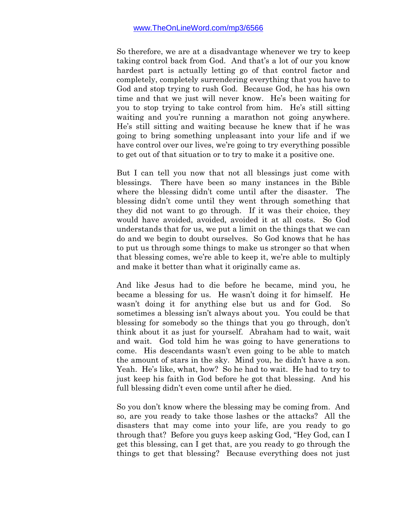So therefore, we are at a disadvantage whenever we try to keep taking control back from God. And that's a lot of our you know hardest part is actually letting go of that control factor and completely, completely surrendering everything that you have to God and stop trying to rush God. Because God, he has his own time and that we just will never know. He's been waiting for you to stop trying to take control from him. He's still sitting waiting and you're running a marathon not going anywhere. He's still sitting and waiting because he knew that if he was going to bring something unpleasant into your life and if we have control over our lives, we're going to try everything possible to get out of that situation or to try to make it a positive one.

But I can tell you now that not all blessings just come with blessings. There have been so many instances in the Bible where the blessing didn't come until after the disaster. The blessing didn't come until they went through something that they did not want to go through. If it was their choice, they would have avoided, avoided, avoided it at all costs. So God understands that for us, we put a limit on the things that we can do and we begin to doubt ourselves. So God knows that he has to put us through some things to make us stronger so that when that blessing comes, we're able to keep it, we're able to multiply and make it better than what it originally came as.

And like Jesus had to die before he became, mind you, he became a blessing for us. He wasn't doing it for himself. He wasn't doing it for anything else but us and for God. So sometimes a blessing isn't always about you. You could be that blessing for somebody so the things that you go through, don't think about it as just for yourself. Abraham had to wait, wait and wait. God told him he was going to have generations to come. His descendants wasn't even going to be able to match the amount of stars in the sky. Mind you, he didn't have a son. Yeah. He's like, what, how? So he had to wait. He had to try to just keep his faith in God before he got that blessing. And his full blessing didn't even come until after he died.

So you don't know where the blessing may be coming from. And so, are you ready to take those lashes or the attacks? All the disasters that may come into your life, are you ready to go through that? Before you guys keep asking God, "Hey God, can I get this blessing, can I get that, are you ready to go through the things to get that blessing? Because everything does not just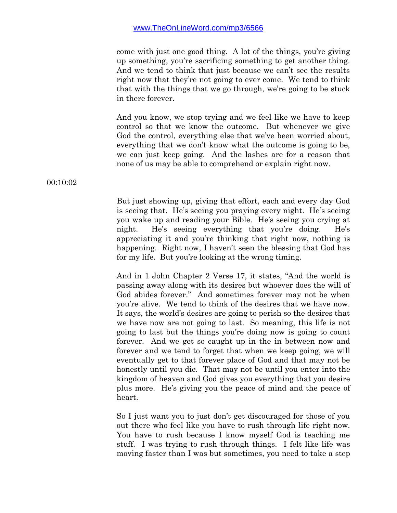come with just one good thing. A lot of the things, you're giving up something, you're sacrificing something to get another thing. And we tend to think that just because we can't see the results right now that they're not going to ever come. We tend to think that with the things that we go through, we're going to be stuck in there forever.

And you know, we stop trying and we feel like we have to keep control so that we know the outcome. But whenever we give God the control, everything else that we've been worried about, everything that we don't know what the outcome is going to be, we can just keep going. And the lashes are for a reason that none of us may be able to comprehend or explain right now.

00:10:02

But just showing up, giving that effort, each and every day God is seeing that. He's seeing you praying every night. He's seeing you wake up and reading your Bible. He's seeing you crying at night. He's seeing everything that you're doing. He's appreciating it and you're thinking that right now, nothing is happening. Right now, I haven't seen the blessing that God has for my life. But you're looking at the wrong timing.

And in 1 John Chapter 2 Verse 17, it states, "And the world is passing away along with its desires but whoever does the will of God abides forever." And sometimes forever may not be when you're alive. We tend to think of the desires that we have now. It says, the world's desires are going to perish so the desires that we have now are not going to last. So meaning, this life is not going to last but the things you're doing now is going to count forever. And we get so caught up in the in between now and forever and we tend to forget that when we keep going, we will eventually get to that forever place of God and that may not be honestly until you die. That may not be until you enter into the kingdom of heaven and God gives you everything that you desire plus more. He's giving you the peace of mind and the peace of heart.

So I just want you to just don't get discouraged for those of you out there who feel like you have to rush through life right now. You have to rush because I know myself God is teaching me stuff. I was trying to rush through things. I felt like life was moving faster than I was but sometimes, you need to take a step